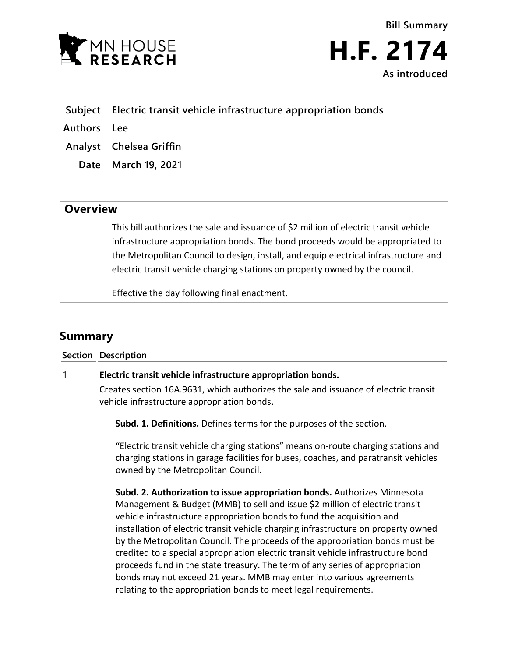



- **Subject Electric transit vehicle infrastructure appropriation bonds**
- **Authors Lee**
- **Analyst Chelsea Griffin**
	- **Date March 19, 2021**

## **Overview**

This bill authorizes the sale and issuance of \$2 million of electric transit vehicle infrastructure appropriation bonds. The bond proceeds would be appropriated to the Metropolitan Council to design, install, and equip electrical infrastructure and electric transit vehicle charging stations on property owned by the council.

Effective the day following final enactment.

# **Summary**

### **Section Description**

#### $\mathbf{1}$ **Electric transit vehicle infrastructure appropriation bonds.**

Creates section 16A.9631, which authorizes the sale and issuance of electric transit vehicle infrastructure appropriation bonds.

**Subd. 1. Definitions.** Defines terms for the purposes of the section.

"Electric transit vehicle charging stations" means on-route charging stations and charging stations in garage facilities for buses, coaches, and paratransit vehicles owned by the Metropolitan Council.

**Subd. 2. Authorization to issue appropriation bonds.** Authorizes Minnesota Management & Budget (MMB) to sell and issue \$2 million of electric transit vehicle infrastructure appropriation bonds to fund the acquisition and installation of electric transit vehicle charging infrastructure on property owned by the Metropolitan Council. The proceeds of the appropriation bonds must be credited to a special appropriation electric transit vehicle infrastructure bond proceeds fund in the state treasury. The term of any series of appropriation bonds may not exceed 21 years. MMB may enter into various agreements relating to the appropriation bonds to meet legal requirements.